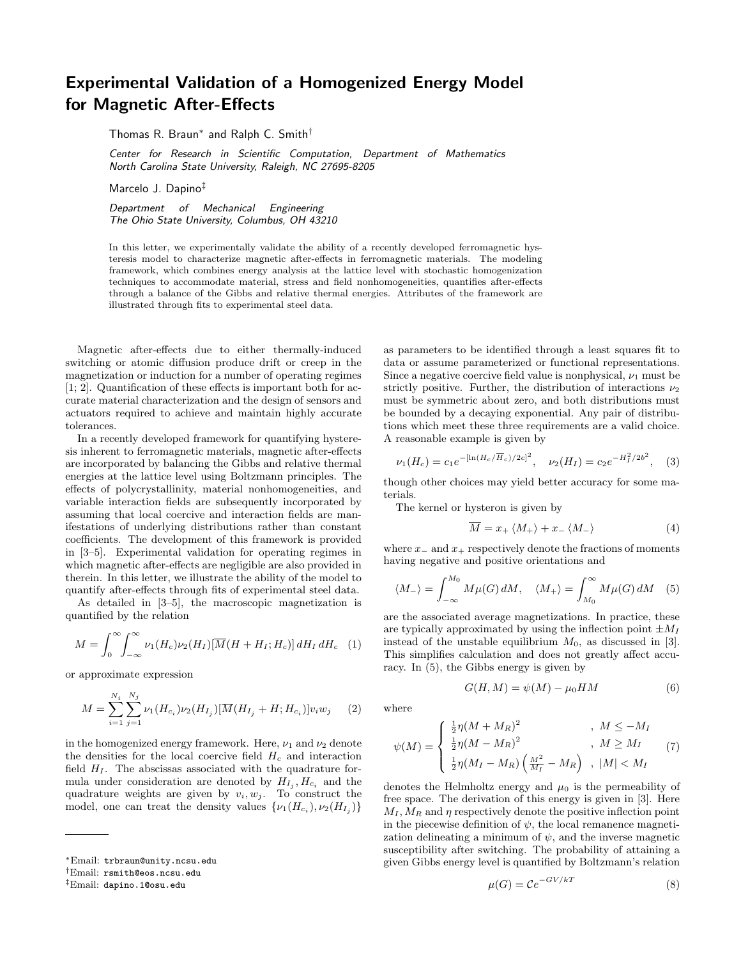## Experimental Validation of a Homogenized Energy Model for Magnetic After-Effects

Thomas R. Braun<sup>∗</sup> and Ralph C. Smith†

Center for Research in Scientific Computation, Department of Mathematics North Carolina State University, Raleigh, NC 27695-8205

Marcelo J. Dapino‡

Department of Mechanical Engineering The Ohio State University, Columbus, OH 43210

In this letter, we experimentally validate the ability of a recently developed ferromagnetic hysteresis model to characterize magnetic after-effects in ferromagnetic materials. The modeling framework, which combines energy analysis at the lattice level with stochastic homogenization techniques to accommodate material, stress and field nonhomogeneities, quantifies after-effects through a balance of the Gibbs and relative thermal energies. Attributes of the framework are illustrated through fits to experimental steel data.

Magnetic after-effects due to either thermally-induced switching or atomic diffusion produce drift or creep in the magnetization or induction for a number of operating regimes [1; 2]. Quantification of these effects is important both for accurate material characterization and the design of sensors and actuators required to achieve and maintain highly accurate tolerances.

In a recently developed framework for quantifying hysteresis inherent to ferromagnetic materials, magnetic after-effects are incorporated by balancing the Gibbs and relative thermal energies at the lattice level using Boltzmann principles. The effects of polycrystallinity, material nonhomogeneities, and variable interaction fields are subsequently incorporated by assuming that local coercive and interaction fields are manifestations of underlying distributions rather than constant coefficients. The development of this framework is provided in [3–5]. Experimental validation for operating regimes in which magnetic after-effects are negligible are also provided in therein. In this letter, we illustrate the ability of the model to quantify after-effects through fits of experimental steel data.

As detailed in [3–5], the macroscopic magnetization is quantified by the relation

$$
M = \int_0^\infty \int_{-\infty}^\infty \nu_1(H_c) \nu_2(H_I) [\overline{M}(H + H_I; H_c)] dH_I dH_c \quad (1)
$$

or approximate expression

$$
M = \sum_{i=1}^{N_i} \sum_{j=1}^{N_j} \nu_1(H_{c_i}) \nu_2(H_{I_j}) [\overline{M}(H_{I_j} + H; H_{c_i})] v_i w_j \tag{2}
$$

in the homogenized energy framework. Here,  $\nu_1$  and  $\nu_2$  denote the densities for the local coercive field  $H_c$  and interaction field  $H<sub>I</sub>$ . The abscissas associated with the quadrature formula under consideration are denoted by  $H_{I_j}, H_{c_i}$  and the quadrature weights are given by  $v_i, w_j$ . To construct the model, one can treat the density values  $\{\nu_1(H_{c_i}), \nu_2(H_{I_j})\}$ 

as parameters to be identified through a least squares fit to data or assume parameterized or functional representations. Since a negative coercive field value is nonphysical,  $\nu_1$  must be strictly positive. Further, the distribution of interactions  $\nu_2$ must be symmetric about zero, and both distributions must be bounded by a decaying exponential. Any pair of distributions which meet these three requirements are a valid choice. A reasonable example is given by

$$
\nu_1(H_c) = c_1 e^{-[\ln(H_c/\overline{H}_c)/2c]^2}
$$
,  $\nu_2(H_I) = c_2 e^{-H_I^2/2b^2}$ , (3)

though other choices may yield better accuracy for some materials.

The kernel or hysteron is given by

$$
\overline{M} = x_+ \langle M_+ \rangle + x_- \langle M_- \rangle \tag{4}
$$

where  $x_-\text{ and }x_+\text{ respectively}$  denote the fractions of moments having negative and positive orientations and

$$
\langle M_{-}\rangle = \int_{-\infty}^{M_0} M\mu(G) dM, \quad \langle M_{+}\rangle = \int_{M_0}^{\infty} M\mu(G) dM \quad (5)
$$

are the associated average magnetizations. In practice, these are typically approximated by using the inflection point  $\pm M_I$ instead of the unstable equilibrium  $M_0$ , as discussed in [3]. This simplifies calculation and does not greatly affect accuracy. In (5), the Gibbs energy is given by

$$
G(H, M) = \psi(M) - \mu_0 HM \tag{6}
$$

where

$$
\psi(M) = \begin{cases} \frac{1}{2}\eta(M + M_R)^2 & , \ M \le -M_I \\ \frac{1}{2}\eta(M - M_R)^2 & , \ M \ge M_I \\ \frac{1}{2}\eta(M_I - M_R) \left(\frac{M^2}{M_I} - M_R\right) & , \ |M| < M_I \end{cases} \tag{7}
$$

denotes the Helmholtz energy and  $\mu_0$  is the permeability of free space. The derivation of this energy is given in [3]. Here  $M_I, M_R$  and  $\eta$  respectively denote the positive inflection point in the piecewise definition of  $\psi$ , the local remanence magnetization delineating a minimum of  $\psi$ , and the inverse magnetic susceptibility after switching. The probability of attaining a given Gibbs energy level is quantified by Boltzmann's relation

$$
\mu(G) = \mathcal{C}e^{-GV/kT} \tag{8}
$$

<sup>∗</sup>Email: trbraun@unity.ncsu.edu

<sup>†</sup>Email: rsmith@eos.ncsu.edu

<sup>‡</sup>Email: dapino.1@osu.edu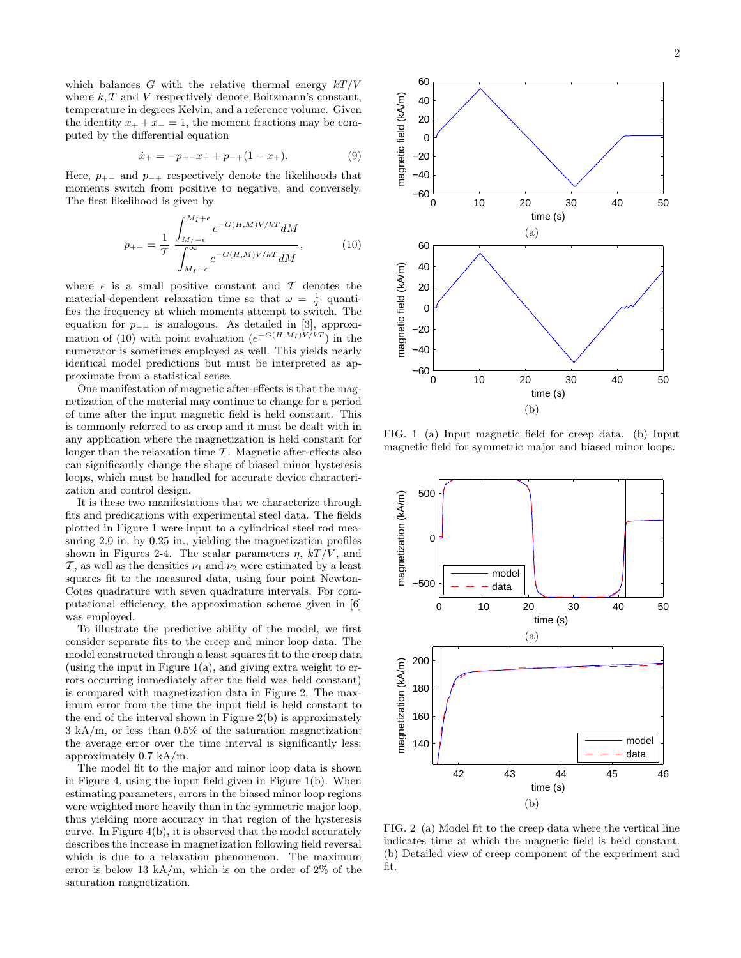which balances G with the relative thermal energy  $kT/V$ where  $k, T$  and  $V$  respectively denote Boltzmann's constant, temperature in degrees Kelvin, and a reference volume. Given the identity  $x_+ + x_- = 1$ , the moment fractions may be computed by the differential equation

$$
\dot{x}_{+} = -p_{+-}x_{+} + p_{-+}(1 - x_{+}). \tag{9}
$$

Here,  $p_{+-}$  and  $p_{-+}$  respectively denote the likelihoods that moments switch from positive to negative, and conversely. The first likelihood is given by

$$
p_{+-} = \frac{1}{T} \frac{\int_{M_I - \epsilon}^{M_I + \epsilon} e^{-G(H, M)V/kT} dM}{\int_{M_I - \epsilon}^{\infty} e^{-G(H, M)V/kT} dM},
$$
(10)

where  $\epsilon$  is a small positive constant and T denotes the material-dependent relaxation time so that  $\omega = \frac{1}{\tau}$  quantifies the frequency at which moments attempt to switch. The equation for  $p_{-+}$  is analogous. As detailed in [3], approximation of (10) with point evaluation  $(e^{-G(H,M_I)V/kT})$  in the numerator is sometimes employed as well. This yields nearly identical model predictions but must be interpreted as approximate from a statistical sense.

One manifestation of magnetic after-effects is that the magnetization of the material may continue to change for a period of time after the input magnetic field is held constant. This is commonly referred to as creep and it must be dealt with in any application where the magnetization is held constant for longer than the relaxation time  $T$ . Magnetic after-effects also can significantly change the shape of biased minor hysteresis loops, which must be handled for accurate device characterization and control design.

It is these two manifestations that we characterize through fits and predications with experimental steel data. The fields plotted in Figure 1 were input to a cylindrical steel rod measuring 2.0 in. by 0.25 in., yielding the magnetization profiles shown in Figures 2-4. The scalar parameters  $\eta$ ,  $kT/V$ , and  $\mathcal{T}$ , as well as the densities  $\nu_1$  and  $\nu_2$  were estimated by a least squares fit to the measured data, using four point Newton-Cotes quadrature with seven quadrature intervals. For computational efficiency, the approximation scheme given in [6] was employed.

To illustrate the predictive ability of the model, we first consider separate fits to the creep and minor loop data. The model constructed through a least squares fit to the creep data (using the input in Figure  $1(a)$ , and giving extra weight to errors occurring immediately after the field was held constant) is compared with magnetization data in Figure 2. The maximum error from the time the input field is held constant to the end of the interval shown in Figure 2(b) is approximately 3 kA/m, or less than 0.5% of the saturation magnetization; the average error over the time interval is significantly less: approximately 0.7 kA/m.

The model fit to the major and minor loop data is shown in Figure 4, using the input field given in Figure 1(b). When estimating parameters, errors in the biased minor loop regions were weighted more heavily than in the symmetric major loop, thus yielding more accuracy in that region of the hysteresis curve. In Figure 4(b), it is observed that the model accurately describes the increase in magnetization following field reversal which is due to a relaxation phenomenon. The maximum error is below 13 kA/m, which is on the order of 2% of the saturation magnetization.



FIG. 1 (a) Input magnetic field for creep data. (b) Input magnetic field for symmetric major and biased minor loops.



FIG. 2 (a) Model fit to the creep data where the vertical line indicates time at which the magnetic field is held constant. (b) Detailed view of creep component of the experiment and fit.